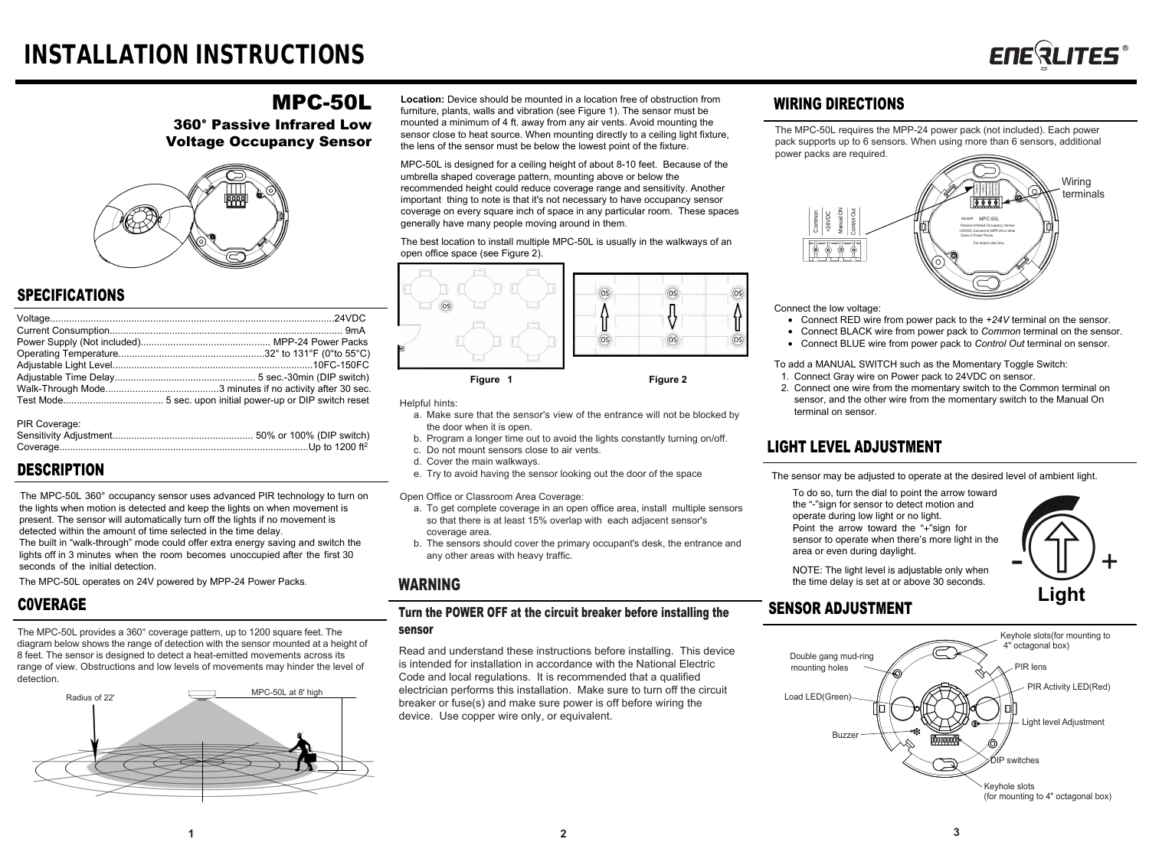# MPC-50L

360° Passive Infrared Low Voltage Occupancy Sensor



## SPECIFICATIONS

| PIR Coverage: |  |
|---------------|--|

# **DESCRIPTION**

The MPC-50L 360° occupancy sensor uses advanced PIR technology to turn on the lights when motion is detected and keep the lights on when movement is present. The sensor will automatically turn off the lights if no movement is detected within the amount of time selected in the time delay.

The built in "walk-through" mode could offer extra energy saving and switch the lights off in 3 minutes when the room becomes unoccupied after the first 30 seconds of the initial detection.

The MPC-50L operates on 24V powered by MPP-24 Power Packs.

## C0VERAGE

The MPC-50L provides a 360° coverage pattern, up to 1200 square feet. The diagram below shows the range of detection with the sensor mounted at a height of 8 feet. The sensor is designed to detect a heat-emitted movements across its range of view. Obstructions and low levels of movements may hinder the level of detection.



**Location:** Device should be mounted in a location free of obstruction from furniture, plants, walls and vibration (see Figure 1). The sensor must be mounted a minimum of 4 ft. away from any air vents. Avoid mounting the sensor close to heat source. When mounting directly to a ceiling light fixture, the lens of the sensor must be below the lowest point of the fixture.

MPC-50L is designed for a ceiling height of about 8-10 feet. Because of the umbrella shaped coverage pattern, mounting above or below the recommended height could reduce coverage range and sensitivity. Another important thing to note is that it's not necessary to have occupancy sensor coverage on every square inch of space in any particular room. These spaces generally have many people moving around in them.

The best location to install multiple MPC-50L is usually in the walkways of an open office space (see Figure 2).





Helpful hints:

- a. Make sure that the sensor's view of the entrance will not be blocked by the door when it is open.
- b. Program a longer time out to avoid the lights constantly turning on/off.
- c. Do not mount sensors close to air vents.
- d. Cover the main walkways.
- e. Try to avoid having the sensor looking out the door of the space

Open Office or Classroom Area Coverage:

- a. To get complete coverage in an open office area, install multiple sensors so that there is at least 15% overlap with each adjacent sensor's coverage area.
- b. The sensors should cover the primary occupant's desk, the entrance and any other areas with heavy traffic.

## WARNING

### Turn the POWER OFF at the circuit breaker before installing the sensor

Read and understand these instructions before installing. This device is intended for installation in accordance with the National Electric Code and local regulations. It is recommended that a qualified electrician performs this installation. Make sure to turn off the circuit breaker or fuse(s) and make sure power is off before wiring the device. Use copper wire only, or equivalent.

## WIRING DIRECTIONS

The MPC-50L requires the MPP-24 power pack (not included). Each power pack supports up to 6 sensors. When using more than 6 sensors, additional power packs are required.



Connect the low voltage:

- Connect RED wire from power pack to the *+24V* terminal on the sensor.
- Connect BLACK wire from power pack to *Common* terminal on the sensor.
- Connect BLUE wire from power pack to *Control Out* terminal on sensor.

To add a MANUAL SWITCH such as the Momentary Toggle Switch:

- 1. Connect Gray wire on Power pack to 24VDC on sensor.
- 2. Connect one wire from the momentary switch to the Common terminal on sensor, and the other wire from the momentary switch to the Manual On terminal on sensor.

# LIGHT LEVEL ADJUSTMENT

The sensor may be adjusted to operate at the desired level of ambient light.

To do so, turn the dial to point the arrow toward the "-"sign for sensor to detect motion and operate during low light or no light. Point the arrow toward the "+"sign for sensor to operate when there's more light in the area or even during daylight.



NOTE: The light level is adjustable only when the time delay is set at or above 30 seconds.

# SENSOR ADJUSTMENT